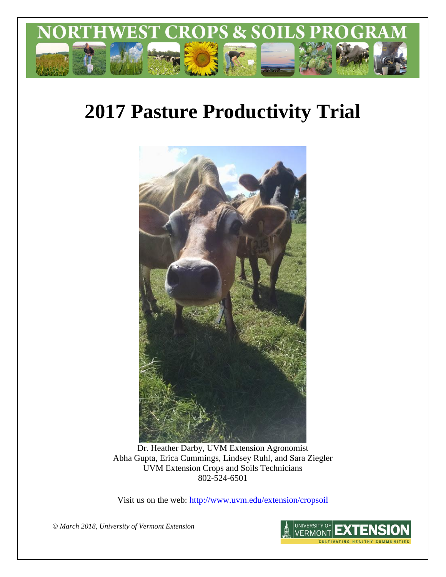

# **2017 Pasture Productivity Trial**



Dr. Heather Darby, UVM Extension Agronomist Abha Gupta, Erica Cummings, Lindsey Ruhl, and Sara Ziegler UVM Extension Crops and Soils Technicians 802-524-6501

Visit us on the web: <http://www.uvm.edu/extension/cropsoil>

*© March 2018, University of Vermont Extension*

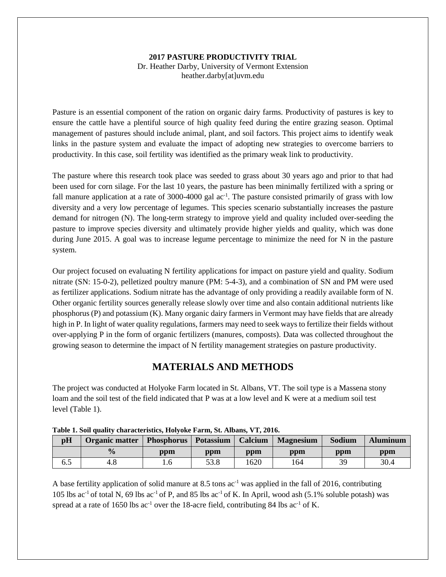### **2017 PASTURE PRODUCTIVITY TRIAL**

Dr. Heather Darby, University of Vermont Extension heather.darby[at]uvm.edu

Pasture is an essential component of the ration on organic dairy farms. Productivity of pastures is key to ensure the cattle have a plentiful source of high quality feed during the entire grazing season. Optimal management of pastures should include animal, plant, and soil factors. This project aims to identify weak links in the pasture system and evaluate the impact of adopting new strategies to overcome barriers to productivity. In this case, soil fertility was identified as the primary weak link to productivity.

The pasture where this research took place was seeded to grass about 30 years ago and prior to that had been used for corn silage. For the last 10 years, the pasture has been minimally fertilized with a spring or fall manure application at a rate of 3000-4000 gal ac<sup>-1</sup>. The pasture consisted primarily of grass with low diversity and a very low percentage of legumes. This species scenario substantially increases the pasture demand for nitrogen (N). The long-term strategy to improve yield and quality included over-seeding the pasture to improve species diversity and ultimately provide higher yields and quality, which was done during June 2015. A goal was to increase legume percentage to minimize the need for N in the pasture system.

Our project focused on evaluating N fertility applications for impact on pasture yield and quality. Sodium nitrate (SN: 15-0-2), pelletized poultry manure (PM: 5-4-3), and a combination of SN and PM were used as fertilizer applications. Sodium nitrate has the advantage of only providing a readily available form of N. Other organic fertility sources generally release slowly over time and also contain additional nutrients like phosphorus (P) and potassium (K). Many organic dairy farmers in Vermont may have fields that are already high in P. In light of water quality regulations, farmers may need to seek ways to fertilize their fields without over-applying P in the form of organic fertilizers (manures, composts). Data was collected throughout the growing season to determine the impact of N fertility management strategies on pasture productivity.

## **MATERIALS AND METHODS**

The project was conducted at Holyoke Farm located in St. Albans, VT. The soil type is a Massena stony loam and the soil test of the field indicated that P was at a low level and K were at a medium soil test level (Table 1).

| pH  | Organic matter | <b>Phosphorus</b> Potassium |      | Calcium | <b>Magnesium</b> | Sodium | <b>Aluminum</b> |
|-----|----------------|-----------------------------|------|---------|------------------|--------|-----------------|
|     | $\frac{0}{0}$  | ppm                         | ppm  | ppm     | ppm              | ppm    | ppm             |
| 6.2 | 4.0            | l.b                         | 53.8 | 620     | .64              | 30     | 30.4            |

| Table 1. Soil quality characteristics, Holyoke Farm, St. Albans, VT, 2016. |  |  |  |
|----------------------------------------------------------------------------|--|--|--|
|                                                                            |  |  |  |

A base fertility application of solid manure at 8.5 tons  $ac^{-1}$  was applied in the fall of 2016, contributing 105 lbs ac-1 of total N, 69 lbs ac-1 of P, and 85 lbs ac-1 of K. In April, wood ash (5.1% soluble potash) was spread at a rate of 1650 lbs  $ac^{-1}$  over the 18-acre field, contributing 84 lbs  $ac^{-1}$  of K.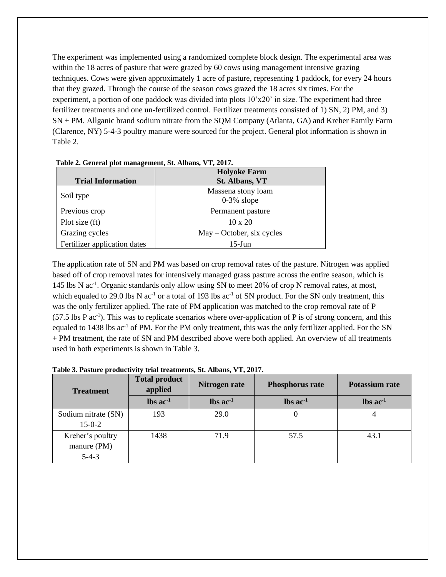The experiment was implemented using a randomized complete block design. The experimental area was within the 18 acres of pasture that were grazed by 60 cows using management intensive grazing techniques. Cows were given approximately 1 acre of pasture, representing 1 paddock, for every 24 hours that they grazed. Through the course of the season cows grazed the 18 acres six times. For the experiment, a portion of one paddock was divided into plots 10'x20' in size. The experiment had three fertilizer treatments and one un-fertilized control. Fertilizer treatments consisted of 1) SN, 2) PM, and 3) SN + PM. Allganic brand sodium nitrate from the SQM Company (Atlanta, GA) and Kreher Family Farm (Clarence, NY) 5-4-3 poultry manure were sourced for the project. General plot information is shown in Table 2.

|                              | <b>Holyoke Farm</b>         |  |  |  |
|------------------------------|-----------------------------|--|--|--|
| <b>Trial Information</b>     | <b>St. Albans, VT</b>       |  |  |  |
|                              | Massena stony loam          |  |  |  |
| Soil type                    | $0-3\%$ slope               |  |  |  |
| Previous crop                | Permanent pasture           |  |  |  |
| Plot size (ft)               | $10 \times 20$              |  |  |  |
| Grazing cycles               | $May - October, six cycles$ |  |  |  |
| Fertilizer application dates | $15$ -Jun                   |  |  |  |

**Table 2. General plot management, St. Albans, VT, 2017.**

The application rate of SN and PM was based on crop removal rates of the pasture. Nitrogen was applied based off of crop removal rates for intensively managed grass pasture across the entire season, which is 145 lbs N ac<sup>-1</sup>. Organic standards only allow using SN to meet 20% of crop N removal rates, at most, which equaled to 29.0 lbs N  $ac^{-1}$  or a total of 193 lbs  $ac^{-1}$  of SN product. For the SN only treatment, this was the only fertilizer applied. The rate of PM application was matched to the crop removal rate of P (57.5 lbs P ac-1 ). This was to replicate scenarios where over-application of P is of strong concern, and this equaled to 1438 lbs ac<sup>-1</sup> of PM. For the PM only treatment, this was the only fertilizer applied. For the SN + PM treatment, the rate of SN and PM described above were both applied. An overview of all treatments used in both experiments is shown in Table 3.

**Table 3. Pasture productivity trial treatments, St. Albans, VT, 2017.**

| <b>Treatment</b>                           | <b>Total product</b><br>applied | Nitrogen rate                 | <b>Phosphorus rate</b>        | Potassium rate                |  |
|--------------------------------------------|---------------------------------|-------------------------------|-------------------------------|-------------------------------|--|
|                                            | $\text{lbs}$ ac <sup>-1</sup>   | $\text{lbs}$ ac <sup>-1</sup> | $\text{lbs}$ ac <sup>-1</sup> | $\text{lbs}$ ac <sup>-1</sup> |  |
| Sodium nitrate (SN)<br>$15 - 0 - 2$        | 193                             | 29.0                          |                               |                               |  |
| Kreher's poultry<br>manure (PM)<br>$5-4-3$ | 1438                            | 71.9                          | 57.5                          | 43.1                          |  |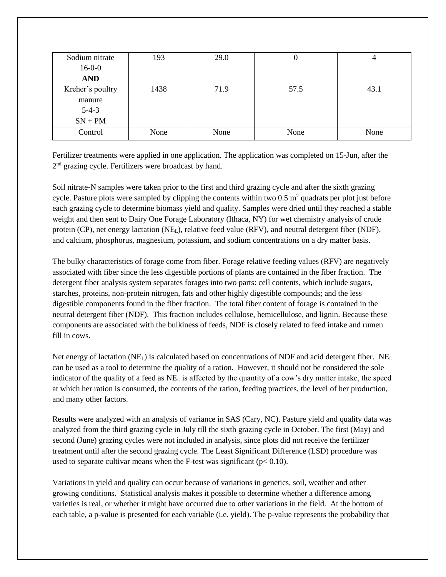| Sodium nitrate   | 193  | 29.0 | U    | 4    |
|------------------|------|------|------|------|
| $16-0-0$         |      |      |      |      |
| <b>AND</b>       |      |      |      |      |
| Kreher's poultry | 1438 | 71.9 | 57.5 | 43.1 |
| manure           |      |      |      |      |
| $5-4-3$          |      |      |      |      |
| $SN + PM$        |      |      |      |      |
| Control          | None | None | None | None |

Fertilizer treatments were applied in one application. The application was completed on 15-Jun, after the 2<sup>nd</sup> grazing cycle. Fertilizers were broadcast by hand.

Soil nitrate-N samples were taken prior to the first and third grazing cycle and after the sixth grazing cycle. Pasture plots were sampled by clipping the contents within two 0.5  $m<sup>2</sup>$  quadrats per plot just before each grazing cycle to determine biomass yield and quality. Samples were dried until they reached a stable weight and then sent to Dairy One Forage Laboratory (Ithaca, NY) for wet chemistry analysis of crude protein (CP), net energy lactation (NEL), relative feed value (RFV), and neutral detergent fiber (NDF), and calcium, phosphorus, magnesium, potassium, and sodium concentrations on a dry matter basis.

The bulky characteristics of forage come from fiber. Forage relative feeding values (RFV) are negatively associated with fiber since the less digestible portions of plants are contained in the fiber fraction. The detergent fiber analysis system separates forages into two parts: cell contents, which include sugars, starches, proteins, non-protein nitrogen, fats and other highly digestible compounds; and the less digestible components found in the fiber fraction. The total fiber content of forage is contained in the neutral detergent fiber (NDF). This fraction includes cellulose, hemicellulose, and lignin. Because these components are associated with the bulkiness of feeds, NDF is closely related to feed intake and rumen fill in cows.

Net energy of lactation (NE<sub>L</sub>) is calculated based on concentrations of NDF and acid detergent fiber. NE<sub>L</sub> can be used as a tool to determine the quality of a ration. However, it should not be considered the sole indicator of the quality of a feed as  $NE<sub>L</sub>$  is affected by the quantity of a cow's dry matter intake, the speed at which her ration is consumed, the contents of the ration, feeding practices, the level of her production, and many other factors.

Results were analyzed with an analysis of variance in SAS (Cary, NC). Pasture yield and quality data was analyzed from the third grazing cycle in July till the sixth grazing cycle in October. The first (May) and second (June) grazing cycles were not included in analysis, since plots did not receive the fertilizer treatment until after the second grazing cycle. The Least Significant Difference (LSD) procedure was used to separate cultivar means when the F-test was significant ( $p < 0.10$ ).

Variations in yield and quality can occur because of variations in genetics, soil, weather and other growing conditions. Statistical analysis makes it possible to determine whether a difference among varieties is real, or whether it might have occurred due to other variations in the field. At the bottom of each table, a p-value is presented for each variable (i.e. yield). The p-value represents the probability that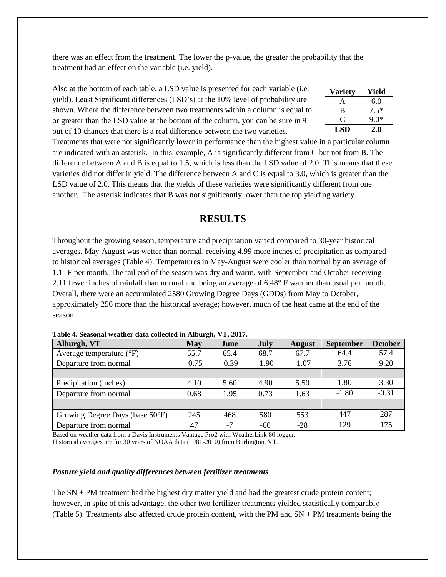there was an effect from the treatment. The lower the p-value, the greater the probability that the treatment had an effect on the variable (i.e. yield).

| Also at the bottom of each table, a LSD value is presented for each variable (i.e. | <b>Variety</b> | Yield         |
|------------------------------------------------------------------------------------|----------------|---------------|
| yield). Least Significant differences (LSD's) at the 10% level of probability are  | A              | $6.0^{\circ}$ |
| shown. Where the difference between two treatments within a column is equal to     | B              | $7.5*$        |
| or greater than the LSD value at the bottom of the column, you can be sure in 9    | C              | $90*$         |
| out of 10 chances that there is a real difference between the two varieties.       | LSD.           | 2.0           |

Treatments that were not significantly lower in performance than the highest value in a particular column are indicated with an asterisk. In this example, A is significantly different from C but not from B. The difference between A and B is equal to 1.5, which is less than the LSD value of 2.0. This means that these varieties did not differ in yield. The difference between A and C is equal to 3.0, which is greater than the LSD value of 2.0. This means that the yields of these varieties were significantly different from one another. The asterisk indicates that B was not significantly lower than the top yielding variety.

**Variety Yield**

## **RESULTS**

Throughout the growing season, temperature and precipitation varied compared to 30-year historical averages. May-August was wetter than normal, receiving 4.99 more inches of precipitation as compared to historical averages (Table 4). Temperatures in May-August were cooler than normal by an average of 1.1° F per month. The tail end of the season was dry and warm, with September and October receiving 2.11 fewer inches of rainfall than normal and being an average of 6.48° F warmer than usual per month. Overall, there were an accumulated 2580 Growing Degree Days (GDDs) from May to October, approximately 256 more than the historical average; however, much of the heat came at the end of the season.

| Alburgh, VT                       | <b>May</b> | June    | July    | <b>August</b> | <b>September</b> | <b>October</b> |
|-----------------------------------|------------|---------|---------|---------------|------------------|----------------|
| Average temperature $(^{\circ}F)$ | 55.7       | 65.4    | 68.7    | 67.7          | 64.4             | 57.4           |
| Departure from normal             | $-0.75$    | $-0.39$ | $-1.90$ | $-1.07$       | 3.76             | 9.20           |
|                                   |            |         |         |               |                  |                |
| Precipitation (inches)            | 4.10       | 5.60    | 4.90    | 5.50          | 1.80             | 3.30           |
| Departure from normal             | 0.68       | 1.95    | 0.73    | 1.63          | $-1.80$          | $-0.31$        |
|                                   |            |         |         |               |                  |                |
| Growing Degree Days (base 50°F)   | 245        | 468     | 580     | 553           | 447              | 287            |
| Departure from normal             | 47         | $-7$    | $-60$   | $-28$         | 129              | 175            |

**Table 4. Seasonal weather data collected in Alburgh, VT, 2017.**

Based on weather data from a Davis Instruments Vantage Pro2 with WeatherLink 80 logger. Historical averages are for 30 years of NOAA data (1981-2010) from Burlington, VT.

#### *Pasture yield and quality differences between fertilizer treatments*

The SN + PM treatment had the highest dry matter yield and had the greatest crude protein content; however, in spite of this advantage, the other two fertilizer treatments yielded statistically comparably (Table 5). Treatments also affected crude protein content, with the PM and SN + PM treatments being the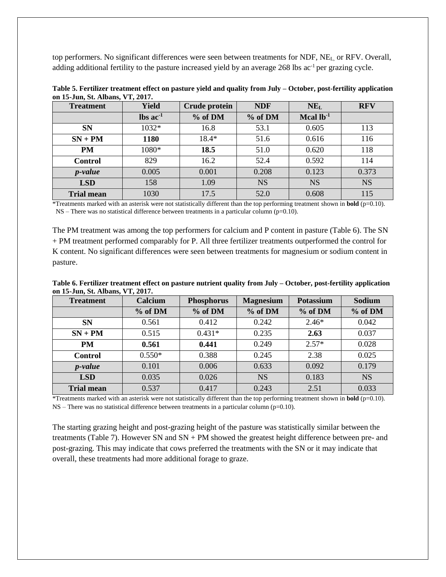top performers. No significant differences were seen between treatments for NDF, NEL, or RFV. Overall, adding additional fertility to the pasture increased yield by an average 268 lbs ac<sup>-1</sup> per grazing cycle.

| <b>Treatment</b>  | <b>Yield</b>                  | Crude protein | <b>NDF</b> | $NE_{L}$    | <b>RFV</b> |
|-------------------|-------------------------------|---------------|------------|-------------|------------|
|                   | $\text{lbs}$ ac <sup>-1</sup> | % of DM       | % of DM    | Mcal $lb-1$ |            |
| <b>SN</b>         | $1032*$                       | 16.8          | 53.1       | 0.605       | 113        |
| $SN + PM$         | 1180                          | $18.4*$       | 51.6       | 0.616       | 116        |
| <b>PM</b>         | 1080*                         | 18.5          | 51.0       | 0.620       | 118        |
| <b>Control</b>    | 829                           | 16.2          | 52.4       | 0.592       | 114        |
| <i>p</i> -value   | 0.005                         | 0.001         | 0.208      | 0.123       | 0.373      |
| <b>LSD</b>        | 158                           | 1.09          | <b>NS</b>  | <b>NS</b>   | <b>NS</b>  |
| <b>Trial mean</b> | 1030                          | 17.5          | 52.0       | 0.608       | 115        |

**Table 5. Fertilizer treatment effect on pasture yield and quality from July – October, post-fertility application on 15-Jun, St. Albans, VT, 2017.**

\*Treatments marked with an asterisk were not statistically different than the top performing treatment shown in **bold** (p=0.10).  $NS$  – There was no statistical difference between treatments in a particular column (p=0.10).

The PM treatment was among the top performers for calcium and P content in pasture (Table 6). The SN + PM treatment performed comparably for P. All three fertilizer treatments outperformed the control for K content. No significant differences were seen between treatments for magnesium or sodium content in pasture.

**Table 6. Fertilizer treatment effect on pasture nutrient quality from July – October, post-fertility application on 15-Jun, St. Albans, VT, 2017.**

| <b>Treatment</b>  | Calcium  | <b>Phosphorus</b> | <b>Magnesium</b> | <b>Potassium</b> | Sodium    |
|-------------------|----------|-------------------|------------------|------------------|-----------|
|                   | % of DM  | % of DM           | % of DM          | % of DM          | % of DM   |
| <b>SN</b>         | 0.561    | 0.412             | 0.242            | $2.46*$          | 0.042     |
| $SN + PM$         | 0.515    | $0.431*$          | 0.235            | 2.63             | 0.037     |
| <b>PM</b>         | 0.561    | 0.441             | 0.249            | $2.57*$          | 0.028     |
| <b>Control</b>    | $0.550*$ | 0.388             | 0.245            | 2.38             | 0.025     |
| <i>p</i> -value   | 0.101    | 0.006             | 0.633            | 0.092            | 0.179     |
| <b>LSD</b>        | 0.035    | 0.026             | <b>NS</b>        | 0.183            | <b>NS</b> |
| <b>Trial mean</b> | 0.537    | 0.417             | 0.243            | 2.51             | 0.033     |

\*Treatments marked with an asterisk were not statistically different than the top performing treatment shown in **bold** (p=0.10).  $NS$  – There was no statistical difference between treatments in a particular column ( $p=0.10$ ).

The starting grazing height and post-grazing height of the pasture was statistically similar between the treatments (Table 7). However SN and SN + PM showed the greatest height difference between pre- and post-grazing. This may indicate that cows preferred the treatments with the SN or it may indicate that overall, these treatments had more additional forage to graze.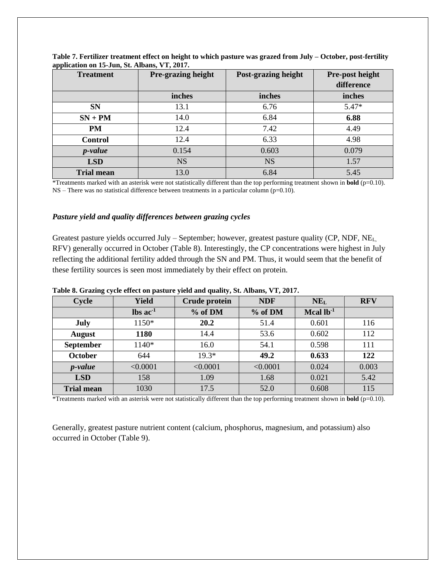| . .<br><b>Treatment</b> | Pre-grazing height | Post-grazing height | Pre-post height |
|-------------------------|--------------------|---------------------|-----------------|
|                         |                    |                     | difference      |
|                         | inches             | inches              | inches          |
| <b>SN</b>               | 13.1               | 6.76                | $5.47*$         |
| $SN + PM$               | 14.0               | 6.84                | 6.88            |
| <b>PM</b>               | 12.4               | 7.42                | 4.49            |
| <b>Control</b>          | 12.4               | 6.33                | 4.98            |
| <i>p</i> -value         | 0.154              | 0.603               | 0.079           |
| <b>LSD</b>              | <b>NS</b>          | <b>NS</b>           | 1.57            |
| <b>Trial mean</b>       | 13.0               | 6.84                | 5.45            |

**Table 7. Fertilizer treatment effect on height to which pasture was grazed from July – October, post-fertility application on 15-Jun, St. Albans, VT, 2017.**

\*Treatments marked with an asterisk were not statistically different than the top performing treatment shown in **bold** (p=0.10).  $NS$  – There was no statistical difference between treatments in a particular column (p=0.10).

#### *Pasture yield and quality differences between grazing cycles*

Greatest pasture yields occurred July – September; however, greatest pasture quality (CP, NDF, NE<sub>L</sub> RFV) generally occurred in October (Table 8). Interestingly, the CP concentrations were highest in July reflecting the additional fertility added through the SN and PM. Thus, it would seem that the benefit of these fertility sources is seen most immediately by their effect on protein.

| Cycle             | <b>Yield</b>                  | <b>Crude protein</b> | <b>NDF</b> | $NE_{L}$       | <b>RFV</b> |
|-------------------|-------------------------------|----------------------|------------|----------------|------------|
|                   | $\text{lbs}$ ac <sup>-1</sup> | % of DM              | % of DM    | Mcal $lb^{-1}$ |            |
| <b>July</b>       | 1150*                         | 20.2                 | 51.4       | 0.601          | 116        |
| <b>August</b>     | 1180                          | 14.4                 | 53.6       | 0.602          | 112        |
| <b>September</b>  | 1140*                         | 16.0                 | 54.1       | 0.598          | 111        |
| <b>October</b>    | 644                           | $19.3*$              | 49.2       | 0.633          | 122        |
| <i>p</i> -value   | < 0.0001                      | < 0.0001             | < 0.0001   | 0.024          | 0.003      |
| <b>LSD</b>        | 158                           | 1.09                 | 1.68       | 0.021          | 5.42       |
| <b>Trial mean</b> | 1030                          | 17.5                 | 52.0       | 0.608          | 115        |

**Table 8. Grazing cycle effect on pasture yield and quality, St. Albans, VT, 2017.**

\*Treatments marked with an asterisk were not statistically different than the top performing treatment shown in **bold** (p=0.10).

Generally, greatest pasture nutrient content (calcium, phosphorus, magnesium, and potassium) also occurred in October (Table 9).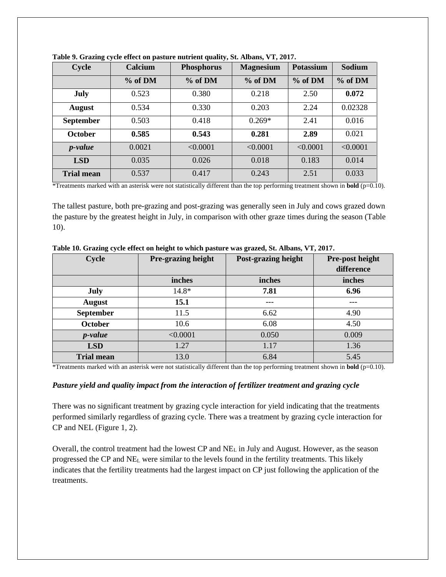| Cycle             | Calcium | <b>Phosphorus</b> | <b>Magnesium</b> | <b>Potassium</b> | <b>Sodium</b> |
|-------------------|---------|-------------------|------------------|------------------|---------------|
|                   | % of DM | % of DM           | % of DM          | $%$ of DM        | % of DM       |
| <b>July</b>       | 0.523   | 0.380             | 0.218            | 2.50             | 0.072         |
| <b>August</b>     | 0.534   | 0.330             | 0.203            | 2.24             | 0.02328       |
| <b>September</b>  | 0.503   | 0.418             | $0.269*$         | 2.41             | 0.016         |
| <b>October</b>    | 0.585   | 0.543             | 0.281            | 2.89             | 0.021         |
| <i>p</i> -value   | 0.0021  | < 0.0001          | < 0.0001         | < 0.0001         | < 0.0001      |
| <b>LSD</b>        | 0.035   | 0.026             | 0.018            | 0.183            | 0.014         |
| <b>Trial mean</b> | 0.537   | 0.417             | 0.243            | 2.51             | 0.033         |



\*Treatments marked with an asterisk were not statistically different than the top performing treatment shown in **bold** (p=0.10).

The tallest pasture, both pre-grazing and post-grazing was generally seen in July and cows grazed down the pasture by the greatest height in July, in comparison with other graze times during the season (Table 10).

| <b>Cycle</b>      | Pre-grazing height | Post-grazing height | Pre-post height<br>difference |
|-------------------|--------------------|---------------------|-------------------------------|
|                   | inches             | inches              | inches                        |
| July              | $14.8*$            | 7.81                | 6.96                          |
| August            | 15.1               | ---                 | ---                           |
| September         | 11.5               | 6.62                | 4.90                          |
| <b>October</b>    | 10.6               | 6.08                | 4.50                          |
| $p-value$         | < 0.0001           | 0.050               | 0.009                         |
| <b>LSD</b>        | 1.27               | 1.17                | 1.36                          |
| <b>Trial mean</b> | 13.0               | 6.84                | 5.45                          |

**Table 10. Grazing cycle effect on height to which pasture was grazed, St. Albans, VT, 2017.**

\*Treatments marked with an asterisk were not statistically different than the top performing treatment shown in **bold** (p=0.10).

#### *Pasture yield and quality impact from the interaction of fertilizer treatment and grazing cycle*

There was no significant treatment by grazing cycle interaction for yield indicating that the treatments performed similarly regardless of grazing cycle. There was a treatment by grazing cycle interaction for CP and NEL (Figure 1, 2).

Overall, the control treatment had the lowest CP and NE<sup>L</sup> in July and August. However, as the season progressed the CP and NE<sup>L</sup> were similar to the levels found in the fertility treatments. This likely indicates that the fertility treatments had the largest impact on CP just following the application of the treatments.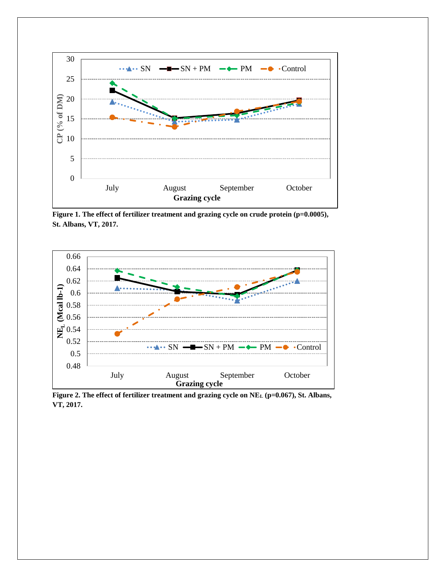

Figure 1. The effect of fertilizer treatment and grazing cycle on crude protein (p=0.0005), **St. Albans, VT, 2017.** 



**Figure 2. The effect of fertilizer treatment and grazing cycle on NE<sup>L</sup> (p=0.067), St. Albans, VT, 2017.**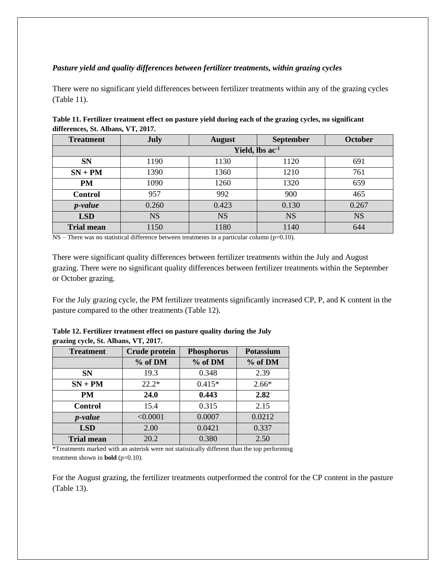### *Pasture yield and quality differences between fertilizer treatments, within grazing cycles*

There were no significant yield differences between fertilizer treatments within any of the grazing cycles (Table 11).

| <b>Treatment</b>  | July                        | <b>August</b> | <b>September</b> | October   |
|-------------------|-----------------------------|---------------|------------------|-----------|
|                   | Yield, lbs ac <sup>-1</sup> |               |                  |           |
| <b>SN</b>         | 1190                        | 1130          | 1120             | 691       |
| $SN + PM$         | 1390                        | 1360          | 1210             | 761       |
| <b>PM</b>         | 1090                        | 1260          | 1320             | 659       |
| <b>Control</b>    | 957                         | 992           | 900              | 465       |
| <i>p</i> -value   | 0.260                       | 0.423         | 0.130            | 0.267     |
| <b>LSD</b>        | <b>NS</b>                   | <b>NS</b>     | <b>NS</b>        | <b>NS</b> |
| <b>Trial mean</b> | 1150                        | 1180          | 1140             | 644       |

**Table 11. Fertilizer treatment effect on pasture yield during each of the grazing cycles, no significant differences, St. Albans, VT, 2017.** 

 $NS$  – There was no statistical difference between treatments in a particular column (p=0.10).

There were significant quality differences between fertilizer treatments within the July and August grazing. There were no significant quality differences between fertilizer treatments within the September or October grazing.

For the July grazing cycle, the PM fertilizer treatments significantly increased CP, P, and K content in the pasture compared to the other treatments (Table 12).

| grazing cycle, St. Albans, VT, 2017. |                      |                   |                  |  |
|--------------------------------------|----------------------|-------------------|------------------|--|
| <b>Treatment</b>                     | <b>Crude protein</b> | <b>Phosphorus</b> | <b>Potassium</b> |  |
|                                      | % of DM              | % of DM           | % of DM          |  |
| <b>SN</b>                            | 19.3                 | 0.348             | 2.39             |  |
| $SN + PM$                            | $22.2*$              | $0.415*$          | $2.66*$          |  |
| PM                                   | 24.0                 | 0.443             | 2.82             |  |
| <b>Control</b>                       | 15.4                 | 0.315             | 2.15             |  |
| <i>p</i> -value                      | < 0.0001             | 0.0007            | 0.0212           |  |
| <b>LSD</b>                           | 2.00                 | 0.0421            | 0.337            |  |
| Trial mean                           | 20.2                 | 0.380             | 2.50             |  |

**Table 12. Fertilizer treatment effect on pasture quality during the July grazing cycle, St. Albans, VT, 2017.** 

\*Treatments marked with an asterisk were not statistically different than the top performing treatment shown in **bold** (p=0.10).

For the August grazing, the fertilizer treatments outperformed the control for the CP content in the pasture (Table 13).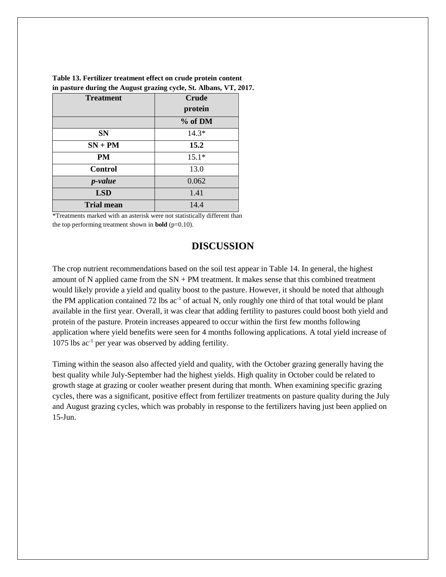| <b>Treatment</b>  | <b>Crude</b><br>protein |  |
|-------------------|-------------------------|--|
|                   | % of DM                 |  |
| <b>SN</b>         | $14.3*$                 |  |
| $SN + PM$         | 15.2                    |  |
| PM                | $15.1*$                 |  |
| <b>Control</b>    | 13.0                    |  |
| <i>p</i> -value   | 0.062                   |  |
| <b>LSD</b>        | 1.41                    |  |
| <b>Trial mean</b> | 14.4                    |  |

**Table 13. Fertilizer treatment effect on crude protein content in pasture during the August grazing cycle, St. Albans, VT, 2017.** 

\*Treatments marked with an asterisk were not statistically different than the top performing treatment shown in **bold** ( $p=0.10$ ).

## **DISCUSSION**

The crop nutrient recommendations based on the soil test appear in Table 14. In general, the highest amount of N applied came from the  $SN + PM$  treatment. It makes sense that this combined treatment would likely provide a yield and quality boost to the pasture. However, it should be noted that although the PM application contained 72 lbs  $ac^{-1}$  of actual N, only roughly one third of that total would be plant available in the first year. Overall, it was clear that adding fertility to pastures could boost both yield and protein of the pasture. Protein increases appeared to occur within the first few months following application where yield benefits were seen for 4 months following applications. A total yield increase of 1075 lbs ac-1 per year was observed by adding fertility.

Timing within the season also affected yield and quality, with the October grazing generally having the best quality while July-September had the highest yields. High quality in October could be related to growth stage at grazing or cooler weather present during that month. When examining specific grazing cycles, there was a significant, positive effect from fertilizer treatments on pasture quality during the July and August grazing cycles, which was probably in response to the fertilizers having just been applied on 15-Jun.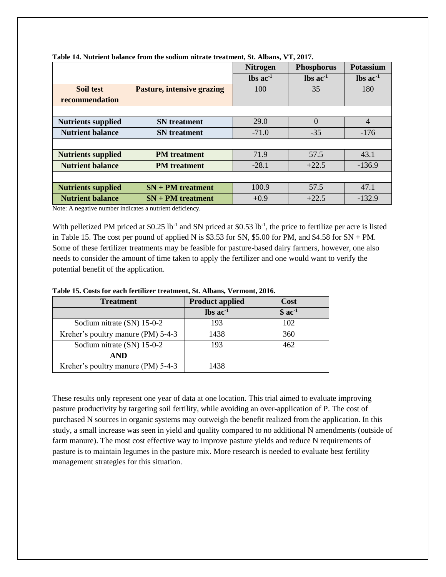|                           |                                   | <b>Nitrogen</b>               | <b>Phosphorus</b>             | <b>Potassium</b>              |
|---------------------------|-----------------------------------|-------------------------------|-------------------------------|-------------------------------|
|                           |                                   | $\text{lbs}$ ac <sup>-1</sup> | $\text{lbs}$ ac <sup>-1</sup> | $\text{lbs}$ ac <sup>-1</sup> |
| Soil test                 | <b>Pasture, intensive grazing</b> | 100                           | 35                            | 180                           |
| recommendation            |                                   |                               |                               |                               |
|                           |                                   |                               |                               |                               |
| <b>Nutrients supplied</b> | <b>SN</b> treatment               | 29.0                          | $\overline{0}$                | $\overline{4}$                |
| <b>Nutrient balance</b>   | <b>SN</b> treatment               | $-71.0$                       | $-35$                         | $-176$                        |
|                           |                                   |                               |                               |                               |
| <b>Nutrients supplied</b> | <b>PM</b> treatment               | 71.9                          | 57.5                          | 43.1                          |
| <b>Nutrient balance</b>   | <b>PM</b> treatment               | $-28.1$                       | $+22.5$                       | $-136.9$                      |
|                           |                                   |                               |                               |                               |
| <b>Nutrients supplied</b> | $SN + PM$ treatment               | 100.9                         | 57.5                          | 47.1                          |
| <b>Nutrient balance</b>   | $SN + PM$ treatment               | $+0.9$                        | $+22.5$                       | $-132.9$                      |

**Table 14. Nutrient balance from the sodium nitrate treatment, St. Albans, VT, 2017.** 

Note: A negative number indicates a nutrient deficiency.

With pelletized PM priced at  $$0.25$  lb<sup>-1</sup> and SN priced at  $$0.53$  lb<sup>-1</sup>, the price to fertilize per acre is listed in Table 15. The cost per pound of applied N is  $$3.53$  for SN,  $$5.00$  for PM, and  $$4.58$  for SN + PM. Some of these fertilizer treatments may be feasible for pasture-based dairy farmers, however, one also needs to consider the amount of time taken to apply the fertilizer and one would want to verify the potential benefit of the application.

| <b>Treatment</b>                   | <b>Product applied</b>        | Cost    |
|------------------------------------|-------------------------------|---------|
|                                    | $\text{lbs}$ ac <sup>-1</sup> | $$ac-1$ |
| Sodium nitrate (SN) 15-0-2         | 193                           | 102     |
| Kreher's poultry manure (PM) 5-4-3 | 1438                          | 360     |
| Sodium nitrate (SN) 15-0-2         | 193                           | 462     |
| <b>AND</b>                         |                               |         |
| Kreher's poultry manure (PM) 5-4-3 | 1438                          |         |

**Table 15. Costs for each fertilizer treatment, St. Albans, Vermont, 2016.** 

These results only represent one year of data at one location. This trial aimed to evaluate improving pasture productivity by targeting soil fertility, while avoiding an over-application of P. The cost of purchased N sources in organic systems may outweigh the benefit realized from the application. In this study, a small increase was seen in yield and quality compared to no additional N amendments (outside of farm manure). The most cost effective way to improve pasture yields and reduce N requirements of pasture is to maintain legumes in the pasture mix. More research is needed to evaluate best fertility management strategies for this situation.